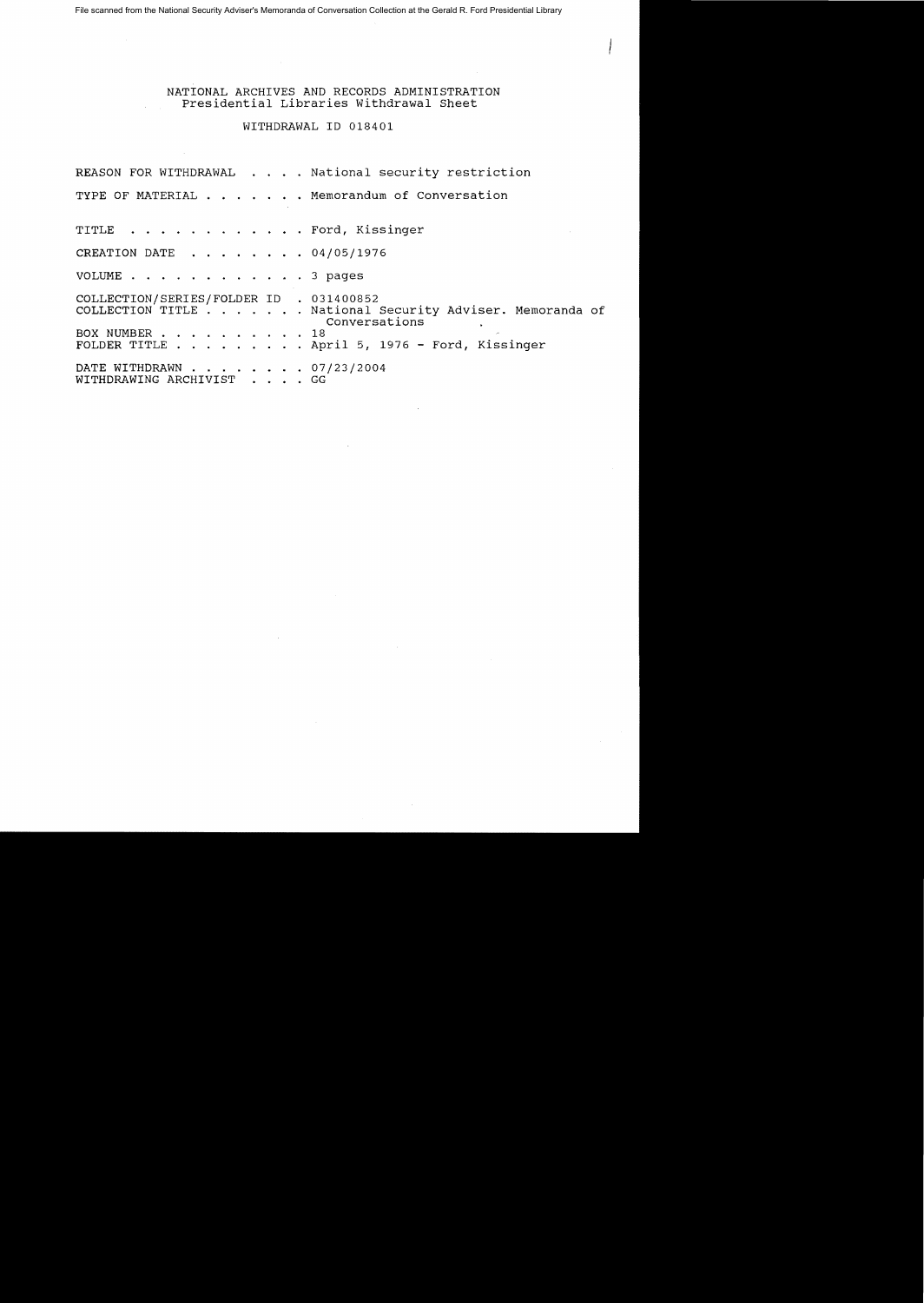File scanned from the National Security Adviser's Memoranda of Conversation Collection at the Gerald R. Ford Presidential Library

NATIONAL ARCHIVES AND RECORDS ADMINISTRATION Presidential Libraries withdrawal Sheet

## WITHDRAWAL ID 018401

REASON FOR WITHDRAWAL . . . . National security restriction TYPE OF MATERIAL . . . . . . Memorandum of Conversation TITLE . . . . . . . . . . . . Ford, Kissinger CREATION DATE  $\ldots$   $\ldots$   $\ldots$  04/05/1976 VOLUME . . . . . . . . . . . . 3 pages COLLECTION/SERIES/FOLDER ID . 031400852 COLLECTION TITLE . . . . . . National Security Adviser. Memoranda of Conversations BOX NUMBER . . . . . . . . . . 18 FOLDER TITLE . . . . . . . . April 5, 1976 - Ford, Kissinger BOX NUMBER . . . . . . . . . . . 18<br>FOLDER TITLE . . . . . . . . . . April 5, 19<br>DATE WITHDRAWN . . . . . . . . . . GG<br>WITHDRAWING ARCHIVIST . . . . GG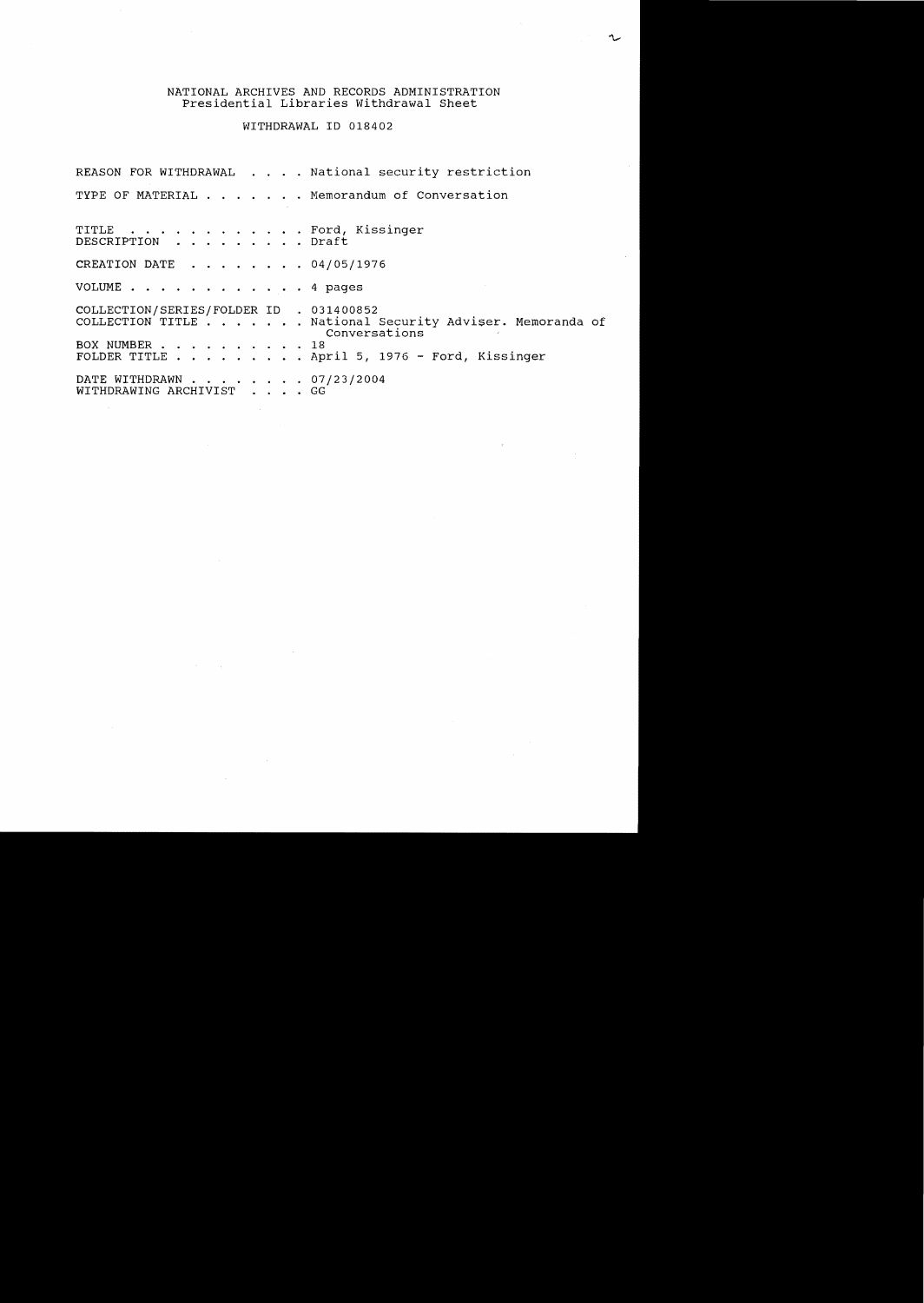## NATIONAL ARCHIVES AND RECORDS ADMINISTRATION Presidential Libraries Withdrawal Sheet

WITHDRAWAL ID 018402

REASON FOR WITHDRAWAL . . . . National security restriction TYPE OF MATERIAL . . . . . . Memorandum of Conversation TITLE . . . . . . . . . . . . Ford, Kissinger DESCRIPTION . . . . .. .. Draft CREATION DATE  $\ldots$ , . . . . 04/05/1976 VOLUME . . . . . . . . . . . . 4 pages COLLECTION/SERIES/FOLDER ID . 031400852 COLLECTION/SERIES/FOLDER ID . 031400852<br>COLLECTION/SERIES/FOLDER ID . 031400852<br>COLLECTION TITLE . . . . . . National Security Adviser. Memoranda of Conversations BOX NUMBER . . . . . . 18 FOLDER TITLE . . . . April 5, 1976 - Ford, Kissinger rolber IIILe . . . . . . . . . . April 5, 13<br>DATE WITHDRAWN . . . . . . . . . 07/23/2004<br>WITHDRAWING ARCHIVIST . . . . GG